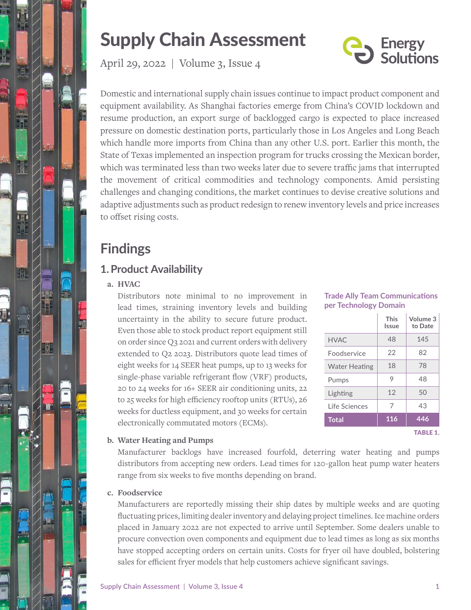

# Supply Chain Assessment

**Energy<br>Solutions** 

April 29, 2022 | Volume 3, Issue 4

Domestic and international supply chain issues continue to impact product component and equipment availability. As Shanghai factories emerge from China's COVID lockdown and resume production, an export surge of backlogged cargo is expected to place increased pressure on domestic destination ports, particularly those in Los Angeles and Long Beach which handle more imports from China than any other U.S. port. Earlier this month, the State of Texas implemented an inspection program for trucks crossing the Mexican border, which was terminated less than two weeks later due to severe traffic jams that interrupted the movement of critical commodities and technology components. Amid persisting challenges and changing conditions, the market continues to devise creative solutions and adaptive adjustments such as product redesign to renew inventory levels and price increases to offset rising costs.

## **Findings**

## **1.Product Availability**

#### **a. HVAC**

Distributors note minimal to no improvement in lead times, straining inventory levels and building uncertainty in the ability to secure future product. Even those able to stock product report equipment still on order since Q3 2021 and current orders with delivery extended to Q2 2023. Distributors quote lead times of eight weeks for 14 SEER heat pumps, up to 13 weeks for single-phase variable refrigerant flow (VRF) products, 20 to 24 weeks for 16+ SEER air conditioning units, 22 to 25 weeks for high efficiency rooftop units (RTUs), 26 weeks for ductless equipment, and 30 weeks for certain electronically commutated motors (ECMs).

#### **Trade Ally Team Communications per Technology Domain**

|                      | <b>This</b><br>Issue | Volume 3<br>to Date |
|----------------------|----------------------|---------------------|
| <b>HVAC</b>          | 48                   | 145                 |
| <b>Foodservice</b>   | 22                   | 82                  |
| <b>Water Heating</b> | 18                   | 78                  |
| Pumps                | 9                    | 48                  |
| Lighting             | 12                   | 50                  |
| Life Sciences        | 7                    | 43                  |
| <b>Total</b>         | 116                  | 446                 |

TABLE 1.

#### **b. Water Heating and Pumps**

Manufacturer backlogs have increased fourfold, deterring water heating and pumps distributors from accepting new orders. Lead times for 120-gallon heat pump water heaters range from six weeks to five months depending on brand.

#### **c. Foodservice**

Manufacturers are reportedly missing their ship dates by multiple weeks and are quoting fluctuating prices, limiting dealer inventory and delaying project timelines. Ice machine orders placed in January 2022 are not expected to arrive until September. Some dealers unable to procure convection oven components and equipment due to lead times as long as six months have stopped accepting orders on certain units. Costs for fryer oil have doubled, bolstering sales for efficient fryer models that help customers achieve significant savings.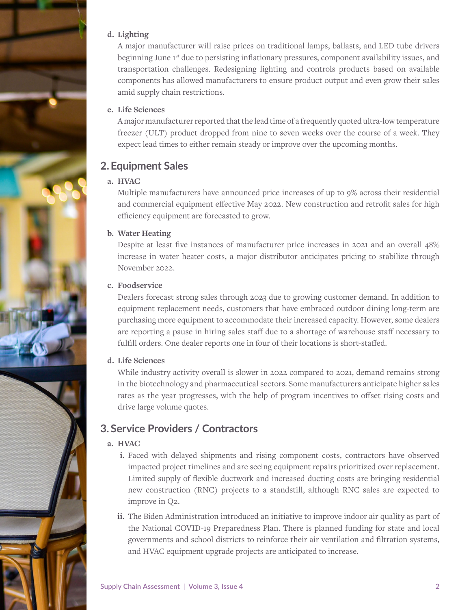#### **d. Lighting**

A major manufacturer will raise prices on traditional lamps, ballasts, and LED tube drivers beginning June 1st due to persisting inflationary pressures, component availability issues, and transportation challenges. Redesigning lighting and controls products based on available components has allowed manufacturers to ensure product output and even grow their sales amid supply chain restrictions.

#### **e. Life Sciences**

A major manufacturer reported that the lead time of a frequently quoted ultra-low temperature freezer (ULT) product dropped from nine to seven weeks over the course of a week. They expect lead times to either remain steady or improve over the upcoming months.

## **2.Equipment Sales**

#### **a. HVAC**

Multiple manufacturers have announced price increases of up to 9% across their residential and commercial equipment effective May 2022. New construction and retrofit sales for high efficiency equipment are forecasted to grow.

#### **b. Water Heating**

Despite at least five instances of manufacturer price increases in 2021 and an overall 48% increase in water heater costs, a major distributor anticipates pricing to stabilize through November 2022.

#### **c. Foodservice**

Dealers forecast strong sales through 2023 due to growing customer demand. In addition to equipment replacement needs, customers that have embraced outdoor dining long-term are purchasing more equipment to accommodate their increased capacity. However, some dealers are reporting a pause in hiring sales staff due to a shortage of warehouse staff necessary to fulfill orders. One dealer reports one in four of their locations is short-staffed.

#### **d. Life Sciences**

While industry activity overall is slower in 2022 compared to 2021, demand remains strong in the biotechnology and pharmaceutical sectors. Some manufacturers anticipate higher sales rates as the year progresses, with the help of program incentives to offset rising costs and drive large volume quotes.

## **3. Service Providers / Contractors**

#### **a. HVAC**

- **i.** Faced with delayed shipments and rising component costs, contractors have observed impacted project timelines and are seeing equipment repairs prioritized over replacement. Limited supply of flexible ductwork and increased ducting costs are bringing residential new construction (RNC) projects to a standstill, although RNC sales are expected to improve in Q2.
- **ii.** The Biden Administration introduced an initiative to improve indoor air quality as part of the National COVID-19 Preparedness Plan. There is planned funding for state and local governments and school districts to reinforce their air ventilation and filtration systems, and HVAC equipment upgrade projects are anticipated to increase.